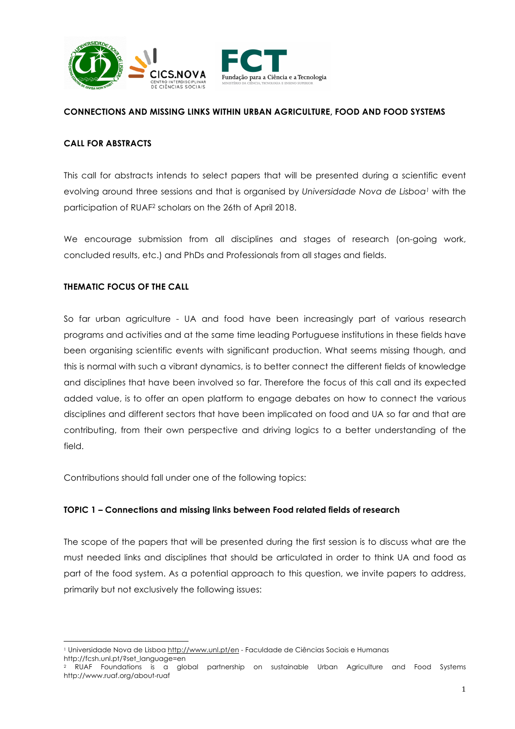



### **CONNECTIONS AND MISSING LINKS WITHIN URBAN AGRICULTURE, FOOD AND FOOD SYSTEMS**

### **CALL FOR ABSTRACTS**

This call for abstracts intends to select papers that will be presented during a scientific event evolving around three sessions and that is organised by *Universidade Nova de Lisboa1* with the participation of RUAF2 scholars on the 26th of April 2018.

We encourage submission from all disciplines and stages of research (on-going work, concluded results, etc.) and PhDs and Professionals from all stages and fields.

### **THEMATIC FOCUS OF THE CALL**

So far urban agriculture - UA and food have been increasingly part of various research programs and activities and at the same time leading Portuguese institutions in these fields have been organising scientific events with significant production. What seems missing though, and this is normal with such a vibrant dynamics, is to better connect the different fields of knowledge and disciplines that have been involved so far. Therefore the focus of this call and its expected added value, is to offer an open platform to engage debates on how to connect the various disciplines and different sectors that have been implicated on food and UA so far and that are contributing, from their own perspective and driving logics to a better understanding of the field.

Contributions should fall under one of the following topics:

#### **TOPIC 1 – Connections and missing links between Food related fields of research**

The scope of the papers that will be presented during the first session is to discuss what are the must needed links and disciplines that should be articulated in order to think UA and food as part of the food system. As a potential approach to this question, we invite papers to address, primarily but not exclusively the following issues:

 <sup>1</sup> Universidade Nova de Lisboa http://www.unl.pt/en - Faculdade de Ciências Sociais e Humanas http://fcsh.unl.pt/?set\_language=en

<sup>2</sup> RUAF Foundations is a global partnership on sustainable Urban Agriculture and Food Systems http://www.ruaf.org/about-ruaf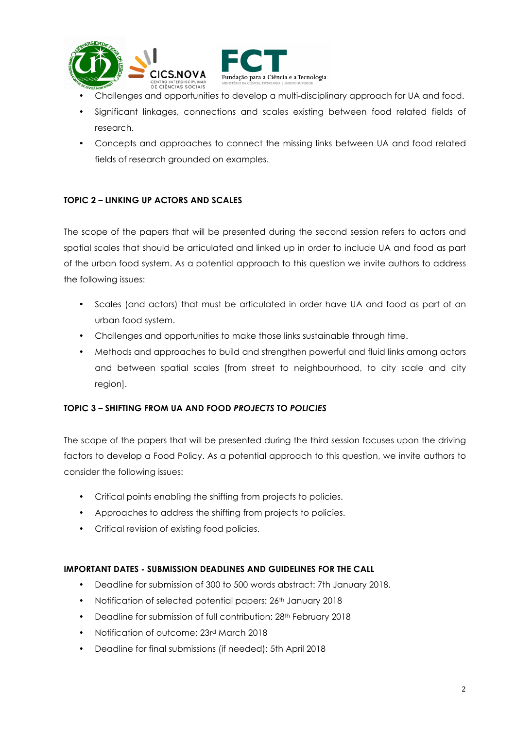

- Fundação para a Ciência e a Tecnologia
- Challenges and opportunities to develop a multi-disciplinary approach for UA and food.
- Significant linkages, connections and scales existing between food related fields of research.
- Concepts and approaches to connect the missing links between UA and food related fields of research grounded on examples.

# **TOPIC 2 – LINKING UP ACTORS AND SCALES**

The scope of the papers that will be presented during the second session refers to actors and spatial scales that should be articulated and linked up in order to include UA and food as part of the urban food system. As a potential approach to this question we invite authors to address the following issues:

- Scales (and actors) that must be articulated in order have UA and food as part of an urban food system.
- Challenges and opportunities to make those links sustainable through time.
- Methods and approaches to build and strengthen powerful and fluid links among actors and between spatial scales [from street to neighbourhood, to city scale and city region].

## **TOPIC 3 – SHIFTING FROM UA AND FOOD** *PROJECTS* **TO** *POLICIES*

The scope of the papers that will be presented during the third session focuses upon the driving factors to develop a Food Policy. As a potential approach to this question, we invite authors to consider the following issues:

- Critical points enabling the shifting from projects to policies.
- Approaches to address the shifting from projects to policies.
- Critical revision of existing food policies.

## **IMPORTANT DATES - SUBMISSION DEADLINES AND GUIDELINES FOR THE CALL**

- Deadline for submission of 300 to 500 words abstract: 7th January 2018.
- Notification of selected potential papers: 26th January 2018
- Deadline for submission of full contribution: 28<sup>th</sup> February 2018
- Notification of outcome: 23rd March 2018
- Deadline for final submissions (if needed): 5th April 2018